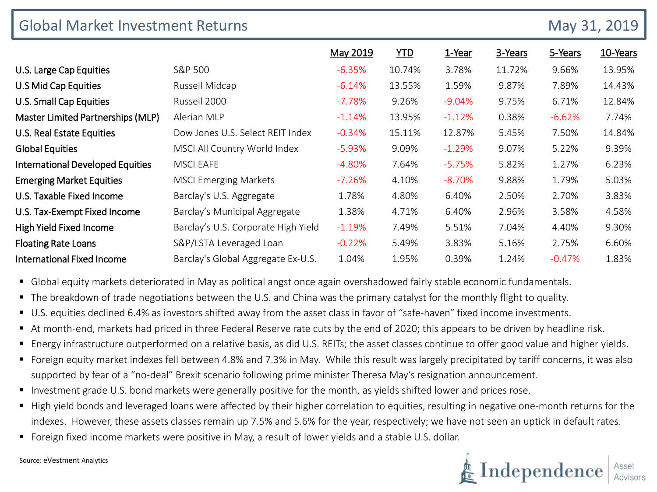| <b>Global Market Investment Returns</b> |                                     |          |            |          |         |          | May 31, 2019 |  |  |
|-----------------------------------------|-------------------------------------|----------|------------|----------|---------|----------|--------------|--|--|
|                                         |                                     | May 2019 | <b>YTD</b> | 1-Year   | 3-Years | 5-Years  | 10-Years     |  |  |
| U.S. Large Cap Equities                 | S&P 500                             | $-6.35%$ | 10.74%     | 3.78%    | 11.72%  | 9.66%    | 13.95%       |  |  |
| U.S Mid Cap Equities                    | Russell Midcap                      | $-6.14%$ | 13.55%     | 1.59%    | 9.87%   | 7.89%    | 14.43%       |  |  |
| U.S. Small Cap Equities                 | Russell 2000                        | $-7.78%$ | 9.26%      | $-9.04%$ | 9.75%   | 6.71%    | 12.84%       |  |  |
| Master Limited Partnerships (MLP)       | Alerian MLP                         | $-1.14%$ | 13.95%     | $-1.12%$ | 0.38%   | $-6.62%$ | 7.74%        |  |  |
| U.S. Real Estate Equities               | Dow Jones U.S. Select REIT Index    | $-0.34%$ | 15.11%     | 12.87%   | 5.45%   | 7.50%    | 14.84%       |  |  |
| <b>Global Equities</b>                  | MSCI All Country World Index        | $-5.93%$ | 9.09%      | $-1.29%$ | 9.07%   | 5.22%    | 9.39%        |  |  |
| <b>International Developed Equities</b> | <b>MSCI EAFE</b>                    | $-4.80%$ | 7.64%      | $-5.75%$ | 5.82%   | 1.27%    | 6.23%        |  |  |
| <b>Emerging Market Equities</b>         | <b>MSCI Emerging Markets</b>        | $-7.26%$ | 4.10%      | $-8.70%$ | 9.88%   | 1.79%    | 5.03%        |  |  |
| U.S. Taxable Fixed Income               | Barclay's U.S. Aggregate            | 1.78%    | 4.80%      | 6.40%    | 2.50%   | 2.70%    | 3.83%        |  |  |
| U.S. Tax-Exempt Fixed Income            | Barclay's Municipal Aggregate       | 1.38%    | 4.71%      | 6.40%    | 2.96%   | 3.58%    | 4.58%        |  |  |
| High Yield Fixed Income                 | Barclay's U.S. Corporate High Yield | $-1.19%$ | 7.49%      | 5.51%    | 7.04%   | 4.40%    | 9.30%        |  |  |
| <b>Floating Rate Loans</b>              | S&P/LSTA Leveraged Loan             | $-0.22%$ | 5.49%      | 3.83%    | 5.16%   | 2.75%    | 6.60%        |  |  |
| <b>International Fixed Income</b>       | Barclay's Global Aggregate Ex-U.S.  | 1.04%    | 1.95%      | 0.39%    | 1.24%   | $-0.47%$ | 1.83%        |  |  |

- Global equity markets deteriorated in May as political angst once again overshadowed fairly stable economic fundamentals.
- The breakdown of trade negotiations between the U.S. and China was the primary catalyst for the monthly flight to quality.
- U.S. equities declined 6.4% as investors shifted away from the asset class in favor of "safe-haven" fixed income investments.
- At month-end, markets had priced in three Federal Reserve rate cuts by the end of 2020; this appears to be driven by headline risk.
- Energy infrastructure outperformed on a relative basis, as did U.S. REITs; the asset classes continue to offer good value and higher yields.
- Foreign equity market indexes fell between 4.8% and 7.3% in May. While this result was largely precipitated by tariff concerns, it was also supported by fear of a "no-deal" Brexit scenario following prime minister Theresa May's resignation announcement.
- Investment grade U.S. bond markets were generally positive for the month, as yields shifted lower and prices rose.
- High yield bonds and leveraged loans were affected by their higher correlation to equities, resulting in negative one-month returns for the indexes. However, these assets classes remain up 7.5% and 5.6% for the year, respectively; we have not seen an uptick in default rates.
- Foreign fixed income markets were positive in May, a result of lower yields and a stable U.S. dollar.



Source: eVestment Analytics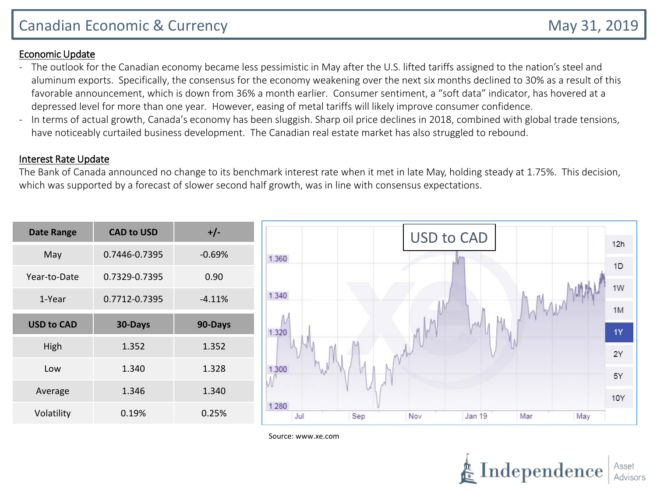# Canadian Economic & Currency **May 31, 2019** May 31, 2019

### Economic Update

- The outlook for the Canadian economy became less pessimistic in May after the U.S. lifted tariffs assigned to the nation's steel and aluminum exports. Specifically, the consensus for the economy weakening over the next six months declined to 30% as a result of this favorable announcement, which is down from 36% a month earlier. Consumer sentiment, a "soft data" indicator, has hovered at a depressed level for more than one year. However, easing of metal tariffs will likely improve consumer confidence.
- In terms of actual growth, Canada's economy has been sluggish. Sharp oil price declines in 2018, combined with global trade tensions, have noticeably curtailed business development. The Canadian real estate market has also struggled to rebound.

#### Interest Rate Update

The Bank of Canada announced no change to its benchmark interest rate when it met in late May, holding steady at 1.75%. This decision, which was supported by a forecast of slower second half growth, was in line with consensus expectations.

| May<br>0.7446-0.7395<br>$-0.69%$<br>1.360<br>Year-to-Date<br>0.7329-0.7395<br>0.90<br>1.340<br>0.7712-0.7395<br>1-Year<br>$-4.11%$ | <b>Date Range</b> | <b>CAD to USD</b> | $+/-$ |  |
|------------------------------------------------------------------------------------------------------------------------------------|-------------------|-------------------|-------|--|
|                                                                                                                                    |                   |                   |       |  |
|                                                                                                                                    |                   |                   |       |  |
|                                                                                                                                    |                   |                   |       |  |
| <b>USD to CAD</b><br>30-Days<br>90-Days<br>1.320                                                                                   |                   |                   |       |  |
| High<br>1.352<br>1.352                                                                                                             |                   |                   |       |  |
| 1.340<br>1.328<br>Low<br>1.300                                                                                                     |                   |                   |       |  |
| 1.346<br>1.340<br>Average                                                                                                          |                   |                   |       |  |
| 1.280<br>Volatility<br>0.25%<br>0.19%<br>Jul                                                                                       |                   |                   |       |  |



Source: www.xe.com